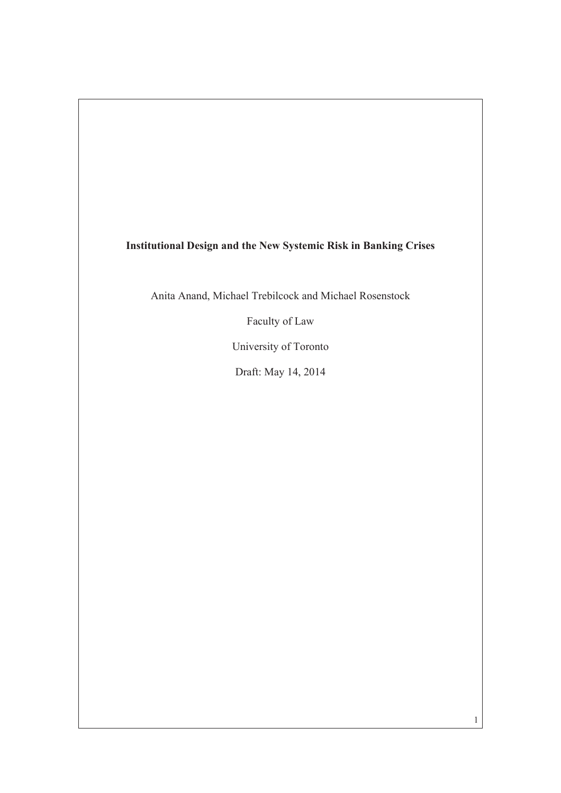## **Institutional Design and the New Systemic Risk in Banking Crises**

Anita Anand, Michael Trebilcock and Michael Rosenstock

Faculty of Law

University of Toronto

Draft: May 14, 2014

1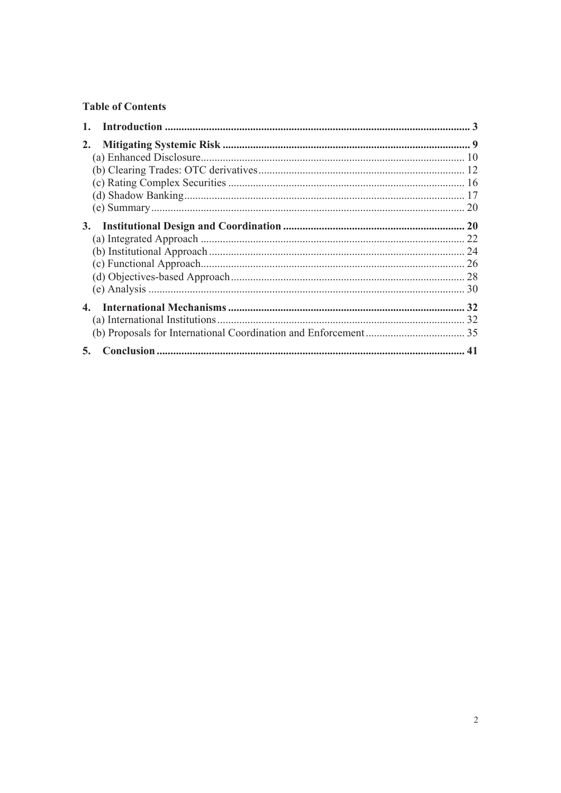## **Table of Contents**

| 2. |  |
|----|--|
|    |  |
|    |  |
|    |  |
|    |  |
|    |  |
| 3. |  |
|    |  |
|    |  |
|    |  |
|    |  |
|    |  |
| 4. |  |
|    |  |
|    |  |
| 5. |  |